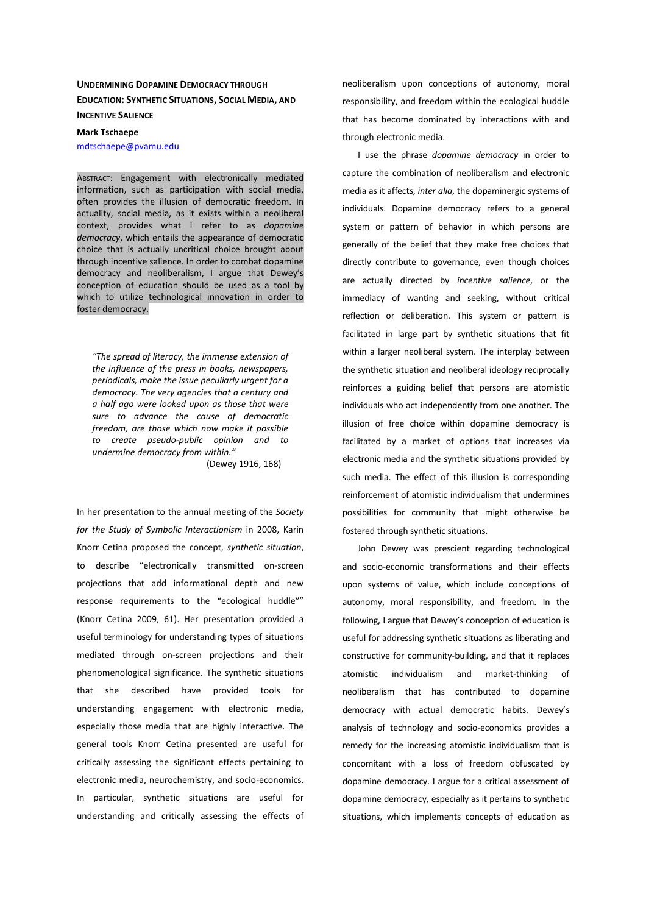# **UNDERMINING DOPAMINE DEMOCRACY THROUGH EDUCATION: SYNTHETIC SITUATIONS, SOCIAL MEDIA, AND INCENTIVE SALIENCE**

**Mark Tschaepe**  mdtschaepe@pvamu.edu

ABSTRACT: Engagement with electronically mediated information, such as participation with social media, often provides the illusion of democratic freedom. In actuality, social media, as it exists within a neoliberal context, provides what I refer to as *dopamine democracy*, which entails the appearance of democratic choice that is actually uncritical choice brought about through incentive salience. In order to combat dopamine democracy and neoliberalism, I argue that Dewey's conception of education should be used as a tool by which to utilize technological innovation in order to foster democracy.

*"The spread of literacy, the immense extension of the influence of the press in books, newspapers, periodicals, make the issue peculiarly urgent for a democracy. The very agencies that a century and a half ago were looked upon as those that were sure to advance the cause of democratic freedom, are those which now make it possible to create pseudo-public opinion and to undermine democracy from within."*

(Dewey 1916, 168)

In her presentation to the annual meeting of the *Society for the Study of Symbolic Interactionism* in 2008, Karin Knorr Cetina proposed the concept, *synthetic situation*, to describe "electronically transmitted on-screen projections that add informational depth and new response requirements to the "ecological huddle"" (Knorr Cetina 2009, 61). Her presentation provided a useful terminology for understanding types of situations mediated through on-screen projections and their phenomenological significance. The synthetic situations that she described have provided tools for understanding engagement with electronic media, especially those media that are highly interactive. The general tools Knorr Cetina presented are useful for critically assessing the significant effects pertaining to electronic media, neurochemistry, and socio-economics. In particular, synthetic situations are useful for understanding and critically assessing the effects of neoliberalism upon conceptions of autonomy, moral responsibility, and freedom within the ecological huddle that has become dominated by interactions with and through electronic media.

I use the phrase *dopamine democracy* in order to capture the combination of neoliberalism and electronic media as it affects, *inter alia*, the dopaminergic systems of individuals. Dopamine democracy refers to a general system or pattern of behavior in which persons are generally of the belief that they make free choices that directly contribute to governance, even though choices are actually directed by *incentive salience*, or the immediacy of wanting and seeking, without critical reflection or deliberation. This system or pattern is facilitated in large part by synthetic situations that fit within a larger neoliberal system. The interplay between the synthetic situation and neoliberal ideology reciprocally reinforces a guiding belief that persons are atomistic individuals who act independently from one another. The illusion of free choice within dopamine democracy is facilitated by a market of options that increases via electronic media and the synthetic situations provided by such media. The effect of this illusion is corresponding reinforcement of atomistic individualism that undermines possibilities for community that might otherwise be fostered through synthetic situations.

John Dewey was prescient regarding technological and socio-economic transformations and their effects upon systems of value, which include conceptions of autonomy, moral responsibility, and freedom. In the following, I argue that Dewey's conception of education is useful for addressing synthetic situations as liberating and constructive for community-building, and that it replaces atomistic individualism and market-thinking of neoliberalism that has contributed to dopamine democracy with actual democratic habits. Dewey's analysis of technology and socio-economics provides a remedy for the increasing atomistic individualism that is concomitant with a loss of freedom obfuscated by dopamine democracy. I argue for a critical assessment of dopamine democracy, especially as it pertains to synthetic situations, which implements concepts of education as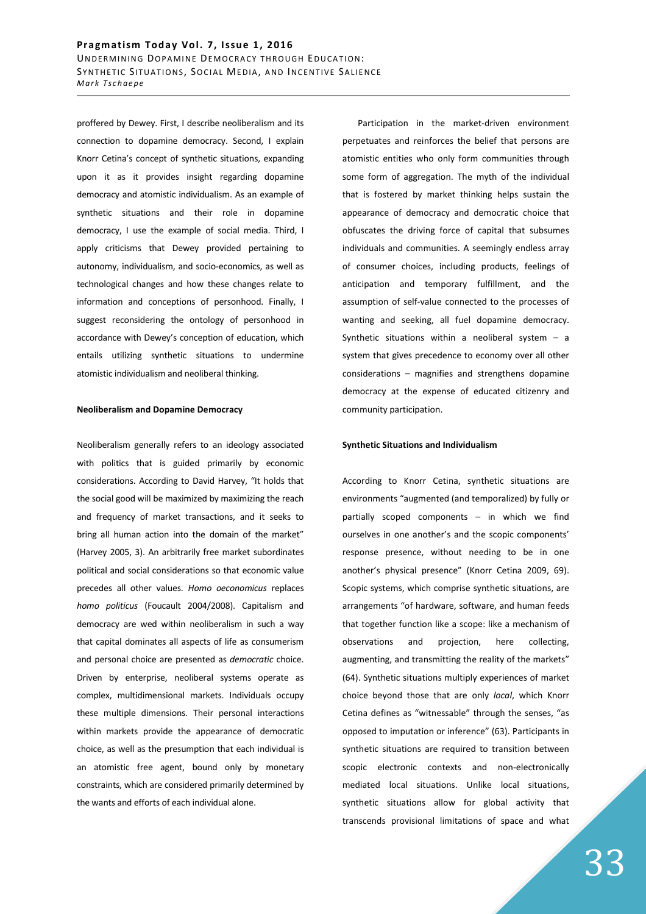## Pragmatism Today Vol. 7, Issue 1, 2016 UNDERMINING DOPAMINE DEMOCRACY THROUGH EDUCATION: SYNTHETIC SITUATIONS, SOCIAL MEDIA, AND INCENTIVE SALIENCE *Mark Tschaepe*

proffered by Dewey. First, I describe neoliberalism and its connection to dopamine democracy. Second, I explain Knorr Cetina's concept of synthetic situations, expanding upon it as it provides insight regarding dopamine democracy and atomistic individualism. As an example of synthetic situations and their role in dopamine democracy, I use the example of social media. Third, I apply criticisms that Dewey provided pertaining to autonomy, individualism, and socio-economics, as well as technological changes and how these changes relate to information and conceptions of personhood. Finally, I suggest reconsidering the ontology of personhood in accordance with Dewey's conception of education, which entails utilizing synthetic situations to undermine atomistic individualism and neoliberal thinking.

#### **Neoliberalism and Dopamine Democracy**

Neoliberalism generally refers to an ideology associated with politics that is guided primarily by economic considerations. According to David Harvey, "It holds that the social good will be maximized by maximizing the reach and frequency of market transactions, and it seeks to bring all human action into the domain of the market" (Harvey 2005, 3). An arbitrarily free market subordinates political and social considerations so that economic value precedes all other values. *Homo oeconomicus* replaces *homo politicus* (Foucault 2004/2008). Capitalism and democracy are wed within neoliberalism in such a way that capital dominates all aspects of life as consumerism and personal choice are presented as *democratic* choice. Driven by enterprise, neoliberal systems operate as complex, multidimensional markets. Individuals occupy these multiple dimensions. Their personal interactions within markets provide the appearance of democratic choice, as well as the presumption that each individual is an atomistic free agent, bound only by monetary constraints, which are considered primarily determined by the wants and efforts of each individual alone.

Participation in the market-driven environment perpetuates and reinforces the belief that persons are atomistic entities who only form communities through some form of aggregation. The myth of the individual that is fostered by market thinking helps sustain the appearance of democracy and democratic choice that obfuscates the driving force of capital that subsumes individuals and communities. A seemingly endless array of consumer choices, including products, feelings of anticipation and temporary fulfillment, and the assumption of self-value connected to the processes of wanting and seeking, all fuel dopamine democracy. Synthetic situations within a neoliberal system  $-$  a system that gives precedence to economy over all other considerations – magnifies and strengthens dopamine democracy at the expense of educated citizenry and community participation.

## **Synthetic Situations and Individualism**

According to Knorr Cetina, synthetic situations are environments "augmented (and temporalized) by fully or partially scoped components – in which we find ourselves in one another's and the scopic components' response presence, without needing to be in one another's physical presence" (Knorr Cetina 2009, 69). Scopic systems, which comprise synthetic situations, are arrangements "of hardware, software, and human feeds that together function like a scope: like a mechanism of observations and projection, here collecting, augmenting, and transmitting the reality of the markets" (64). Synthetic situations multiply experiences of market choice beyond those that are only *local*, which Knorr Cetina defines as "witnessable" through the senses, "as opposed to imputation or inference" (63). Participants in synthetic situations are required to transition between scopic electronic contexts and non-electronically mediated local situations. Unlike local situations, synthetic situations allow for global activity that transcends provisional limitations of space and what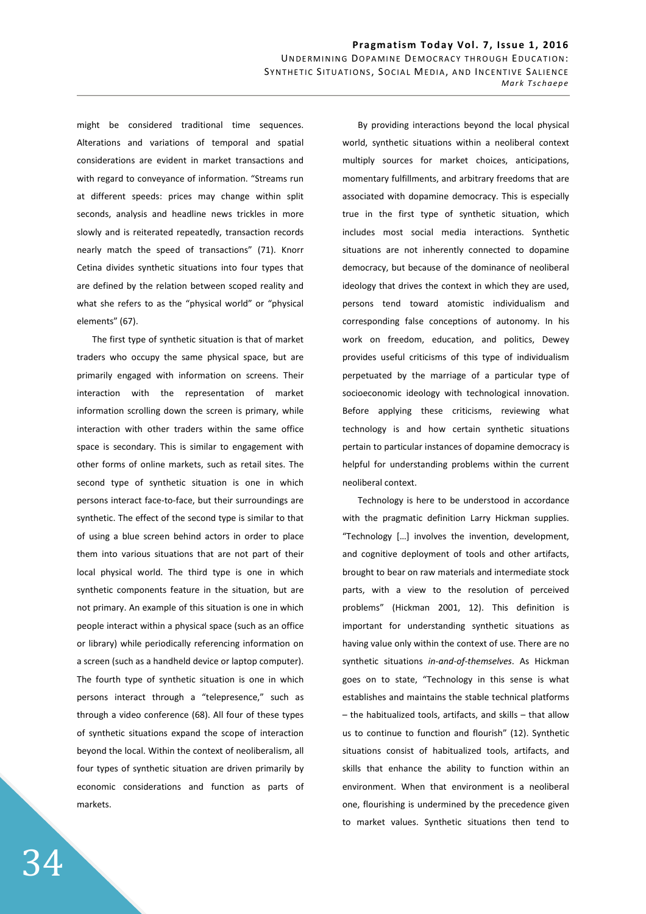might be considered traditional time sequences. Alterations and variations of temporal and spatial considerations are evident in market transactions and with regard to conveyance of information. "Streams run at different speeds: prices may change within split seconds, analysis and headline news trickles in more slowly and is reiterated repeatedly, transaction records nearly match the speed of transactions" (71). Knorr Cetina divides synthetic situations into four types that are defined by the relation between scoped reality and what she refers to as the "physical world" or "physical elements" (67).

The first type of synthetic situation is that of market traders who occupy the same physical space, but are primarily engaged with information on screens. Their interaction with the representation of market information scrolling down the screen is primary, while interaction with other traders within the same office space is secondary. This is similar to engagement with other forms of online markets, such as retail sites. The second type of synthetic situation is one in which persons interact face-to-face, but their surroundings are synthetic. The effect of the second type is similar to that of using a blue screen behind actors in order to place them into various situations that are not part of their local physical world. The third type is one in which synthetic components feature in the situation, but are not primary. An example of this situation is one in which people interact within a physical space (such as an office or library) while periodically referencing information on a screen (such as a handheld device or laptop computer). The fourth type of synthetic situation is one in which persons interact through a "telepresence," such as through a video conference (68). All four of these types of synthetic situations expand the scope of interaction beyond the local. Within the context of neoliberalism, all four types of synthetic situation are driven primarily by economic considerations and function as parts of markets.

By providing interactions beyond the local physical world, synthetic situations within a neoliberal context multiply sources for market choices, anticipations, momentary fulfillments, and arbitrary freedoms that are associated with dopamine democracy. This is especially true in the first type of synthetic situation, which includes most social media interactions. Synthetic situations are not inherently connected to dopamine democracy, but because of the dominance of neoliberal ideology that drives the context in which they are used, persons tend toward atomistic individualism and corresponding false conceptions of autonomy. In his work on freedom, education, and politics, Dewey provides useful criticisms of this type of individualism perpetuated by the marriage of a particular type of socioeconomic ideology with technological innovation. Before applying these criticisms, reviewing what technology is and how certain synthetic situations pertain to particular instances of dopamine democracy is helpful for understanding problems within the current neoliberal context.

Technology is here to be understood in accordance with the pragmatic definition Larry Hickman supplies. "Technology […] involves the invention, development, and cognitive deployment of tools and other artifacts, brought to bear on raw materials and intermediate stock parts, with a view to the resolution of perceived problems" (Hickman 2001, 12). This definition is important for understanding synthetic situations as having value only within the context of use. There are no synthetic situations *in-and-of-themselves*. As Hickman goes on to state, "Technology in this sense is what establishes and maintains the stable technical platforms – the habitualized tools, artifacts, and skills – that allow us to continue to function and flourish" (12). Synthetic situations consist of habitualized tools, artifacts, and skills that enhance the ability to function within an environment. When that environment is a neoliberal one, flourishing is undermined by the precedence given to market values. Synthetic situations then tend to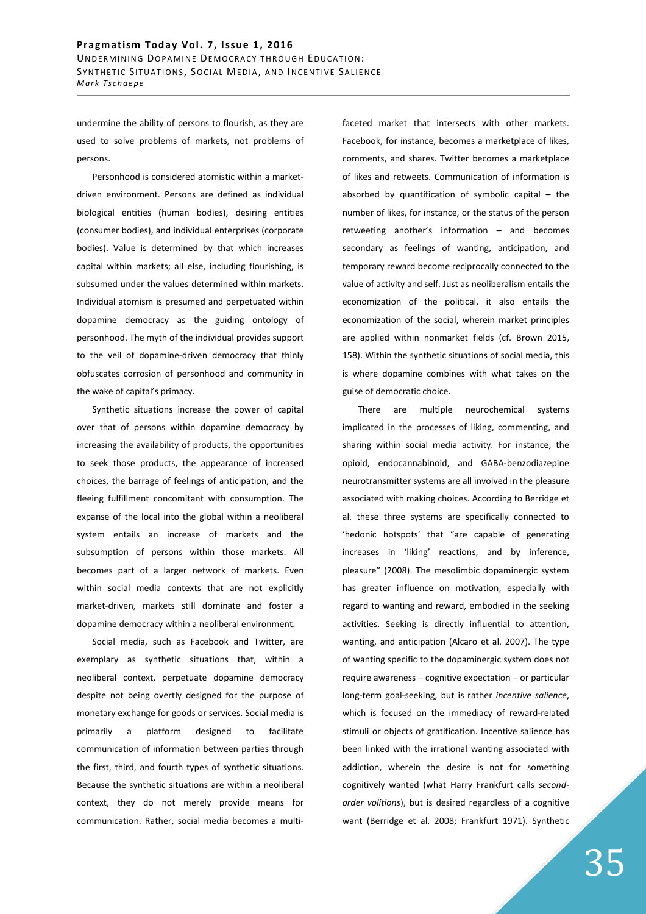undermine the ability of persons to flourish, as they are used to solve problems of markets, not problems of persons.

Personhood is considered atomistic within a marketdriven environment. Persons are defined as individual biological entities (human bodies), desiring entities (consumer bodies), and individual enterprises (corporate bodies). Value is determined by that which increases capital within markets; all else, including flourishing, is subsumed under the values determined within markets. Individual atomism is presumed and perpetuated within dopamine democracy as the guiding ontology of personhood. The myth of the individual provides support to the veil of dopamine-driven democracy that thinly obfuscates corrosion of personhood and community in the wake of capital's primacy.

Synthetic situations increase the power of capital over that of persons within dopamine democracy by increasing the availability of products, the opportunities to seek those products, the appearance of increased choices, the barrage of feelings of anticipation, and the fleeing fulfillment concomitant with consumption. The expanse of the local into the global within a neoliberal system entails an increase of markets and the subsumption of persons within those markets. All becomes part of a larger network of markets. Even within social media contexts that are not explicitly market-driven, markets still dominate and foster a dopamine democracy within a neoliberal environment.

Social media, such as Facebook and Twitter, are exemplary as synthetic situations that, within a neoliberal context, perpetuate dopamine democracy despite not being overtly designed for the purpose of monetary exchange for goods or services. Social media is primarily a platform designed to facilitate communication of information between parties through the first, third, and fourth types of synthetic situations. Because the synthetic situations are within a neoliberal context, they do not merely provide means for communication. Rather, social media becomes a multifaceted market that intersects with other markets. Facebook, for instance, becomes a marketplace of likes, comments, and shares. Twitter becomes a marketplace of likes and retweets. Communication of information is absorbed by quantification of symbolic capital  $-$  the number of likes, for instance, or the status of the person retweeting another's information – and becomes secondary as feelings of wanting, anticipation, and temporary reward become reciprocally connected to the value of activity and self. Just as neoliberalism entails the economization of the political, it also entails the economization of the social, wherein market principles are applied within nonmarket fields (cf. Brown 2015, 158). Within the synthetic situations of social media, this is where dopamine combines with what takes on the guise of democratic choice.

There are multiple neurochemical systems implicated in the processes of liking, commenting, and sharing within social media activity. For instance, the opioid, endocannabinoid, and GABA-benzodiazepine neurotransmitter systems are all involved in the pleasure associated with making choices. According to Berridge et al. these three systems are specifically connected to 'hedonic hotspots' that "are capable of generating increases in 'liking' reactions, and by inference, pleasure" (2008). The mesolimbic dopaminergic system has greater influence on motivation, especially with regard to wanting and reward, embodied in the seeking activities. Seeking is directly influential to attention, wanting, and anticipation (Alcaro et al. 2007). The type of wanting specific to the dopaminergic system does not require awareness – cognitive expectation – or particular long-term goal-seeking, but is rather *incentive salience*, which is focused on the immediacy of reward-related stimuli or objects of gratification. Incentive salience has been linked with the irrational wanting associated with addiction, wherein the desire is not for something cognitively wanted (what Harry Frankfurt calls *secondorder volitions*), but is desired regardless of a cognitive want (Berridge et al. 2008; Frankfurt 1971). Synthetic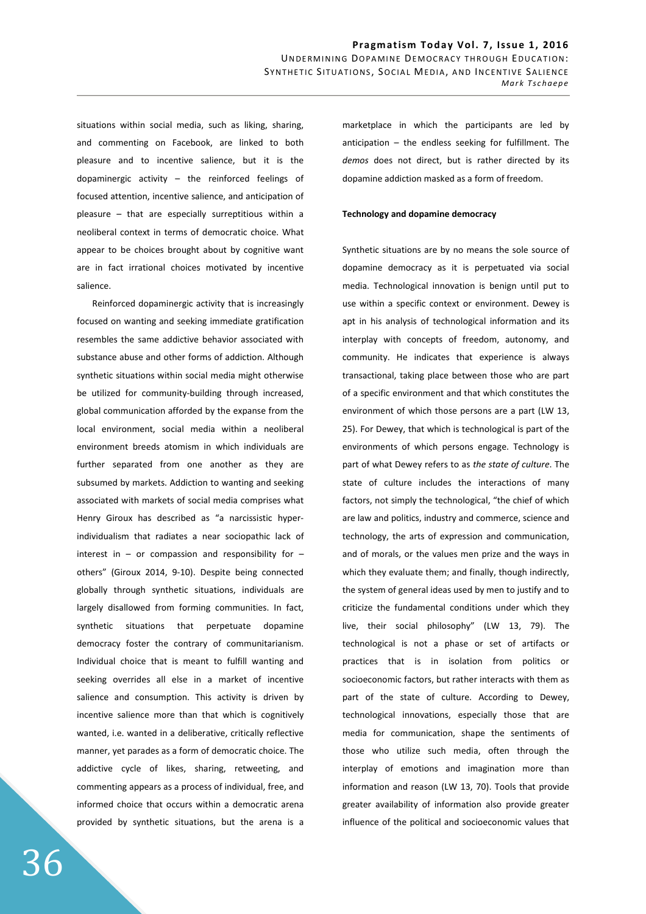situations within social media, such as liking, sharing, and commenting on Facebook, are linked to both pleasure and to incentive salience, but it is the dopaminergic activity – the reinforced feelings of focused attention, incentive salience, and anticipation of pleasure – that are especially surreptitious within a neoliberal context in terms of democratic choice. What appear to be choices brought about by cognitive want are in fact irrational choices motivated by incentive salience.

Reinforced dopaminergic activity that is increasingly focused on wanting and seeking immediate gratification resembles the same addictive behavior associated with substance abuse and other forms of addiction. Although synthetic situations within social media might otherwise be utilized for community-building through increased, global communication afforded by the expanse from the local environment, social media within a neoliberal environment breeds atomism in which individuals are further separated from one another as they are subsumed by markets. Addiction to wanting and seeking associated with markets of social media comprises what Henry Giroux has described as "a narcissistic hyperindividualism that radiates a near sociopathic lack of interest in  $-$  or compassion and responsibility for  $$ others" (Giroux 2014, 9-10). Despite being connected globally through synthetic situations, individuals are largely disallowed from forming communities. In fact, synthetic situations that perpetuate dopamine democracy foster the contrary of communitarianism. Individual choice that is meant to fulfill wanting and seeking overrides all else in a market of incentive salience and consumption. This activity is driven by incentive salience more than that which is cognitively wanted, i.e. wanted in a deliberative, critically reflective manner, yet parades as a form of democratic choice. The addictive cycle of likes, sharing, retweeting, and commenting appears as a process of individual, free, and informed choice that occurs within a democratic arena provided by synthetic situations, but the arena is a marketplace in which the participants are led by anticipation – the endless seeking for fulfillment. The *demos* does not direct, but is rather directed by its dopamine addiction masked as a form of freedom.

#### **Technology and dopamine democracy**

Synthetic situations are by no means the sole source of dopamine democracy as it is perpetuated via social media. Technological innovation is benign until put to use within a specific context or environment. Dewey is apt in his analysis of technological information and its interplay with concepts of freedom, autonomy, and community. He indicates that experience is always transactional, taking place between those who are part of a specific environment and that which constitutes the environment of which those persons are a part (LW 13, 25). For Dewey, that which is technological is part of the environments of which persons engage. Technology is part of what Dewey refers to as *the state of culture*. The state of culture includes the interactions of many factors, not simply the technological, "the chief of which are law and politics, industry and commerce, science and technology, the arts of expression and communication, and of morals, or the values men prize and the ways in which they evaluate them; and finally, though indirectly, the system of general ideas used by men to justify and to criticize the fundamental conditions under which they live, their social philosophy" (LW 13, 79). The technological is not a phase or set of artifacts or practices that is in isolation from politics or socioeconomic factors, but rather interacts with them as part of the state of culture. According to Dewey, technological innovations, especially those that are media for communication, shape the sentiments of those who utilize such media, often through the interplay of emotions and imagination more than information and reason (LW 13, 70). Tools that provide greater availability of information also provide greater influence of the political and socioeconomic values that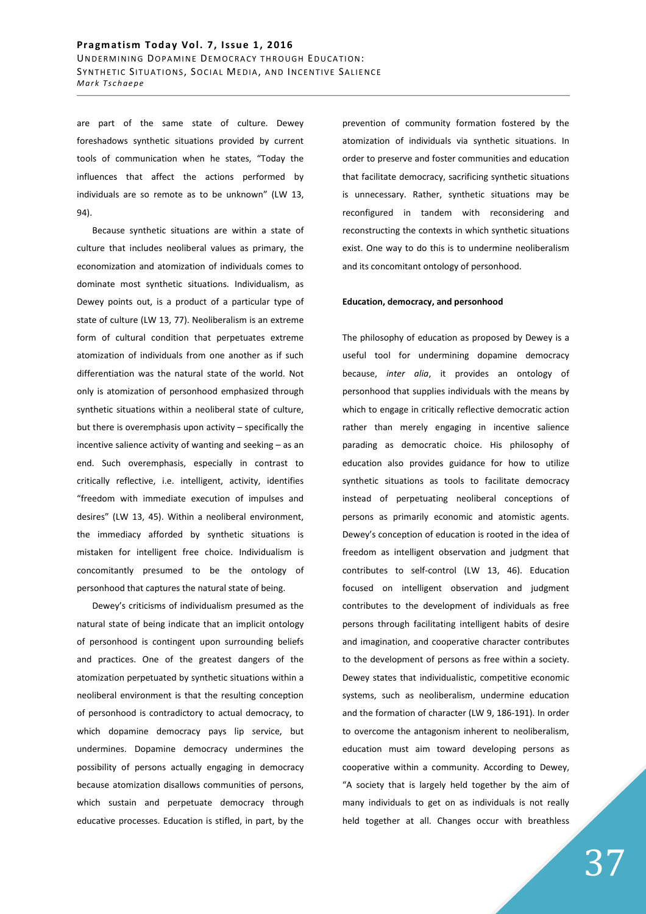are part of the same state of culture. Dewey foreshadows synthetic situations provided by current tools of communication when he states, "Today the influences that affect the actions performed by individuals are so remote as to be unknown" (LW 13, 94).

Because synthetic situations are within a state of culture that includes neoliberal values as primary, the economization and atomization of individuals comes to dominate most synthetic situations. Individualism, as Dewey points out, is a product of a particular type of state of culture (LW 13, 77). Neoliberalism is an extreme form of cultural condition that perpetuates extreme atomization of individuals from one another as if such differentiation was the natural state of the world. Not only is atomization of personhood emphasized through synthetic situations within a neoliberal state of culture, but there is overemphasis upon activity – specifically the incentive salience activity of wanting and seeking – as an end. Such overemphasis, especially in contrast to critically reflective, i.e. intelligent, activity, identifies "freedom with immediate execution of impulses and desires" (LW 13, 45). Within a neoliberal environment, the immediacy afforded by synthetic situations is mistaken for intelligent free choice. Individualism is concomitantly presumed to be the ontology of personhood that captures the natural state of being.

Dewey's criticisms of individualism presumed as the natural state of being indicate that an implicit ontology of personhood is contingent upon surrounding beliefs and practices. One of the greatest dangers of the atomization perpetuated by synthetic situations within a neoliberal environment is that the resulting conception of personhood is contradictory to actual democracy, to which dopamine democracy pays lip service, but undermines. Dopamine democracy undermines the possibility of persons actually engaging in democracy because atomization disallows communities of persons, which sustain and perpetuate democracy through educative processes. Education is stifled, in part, by the prevention of community formation fostered by the atomization of individuals via synthetic situations. In order to preserve and foster communities and education that facilitate democracy, sacrificing synthetic situations is unnecessary. Rather, synthetic situations may be reconfigured in tandem with reconsidering and reconstructing the contexts in which synthetic situations exist. One way to do this is to undermine neoliberalism and its concomitant ontology of personhood.

## **Education, democracy, and personhood**

The philosophy of education as proposed by Dewey is a useful tool for undermining dopamine democracy because, *inter alia*, it provides an ontology of personhood that supplies individuals with the means by which to engage in critically reflective democratic action rather than merely engaging in incentive salience parading as democratic choice. His philosophy of education also provides guidance for how to utilize synthetic situations as tools to facilitate democracy instead of perpetuating neoliberal conceptions of persons as primarily economic and atomistic agents. Dewey's conception of education is rooted in the idea of freedom as intelligent observation and judgment that contributes to self-control (LW 13, 46). Education focused on intelligent observation and judgment contributes to the development of individuals as free persons through facilitating intelligent habits of desire and imagination, and cooperative character contributes to the development of persons as free within a society. Dewey states that individualistic, competitive economic systems, such as neoliberalism, undermine education and the formation of character (LW 9, 186-191). In order to overcome the antagonism inherent to neoliberalism, education must aim toward developing persons as cooperative within a community. According to Dewey, "A society that is largely held together by the aim of many individuals to get on as individuals is not really held together at all. Changes occur with breathless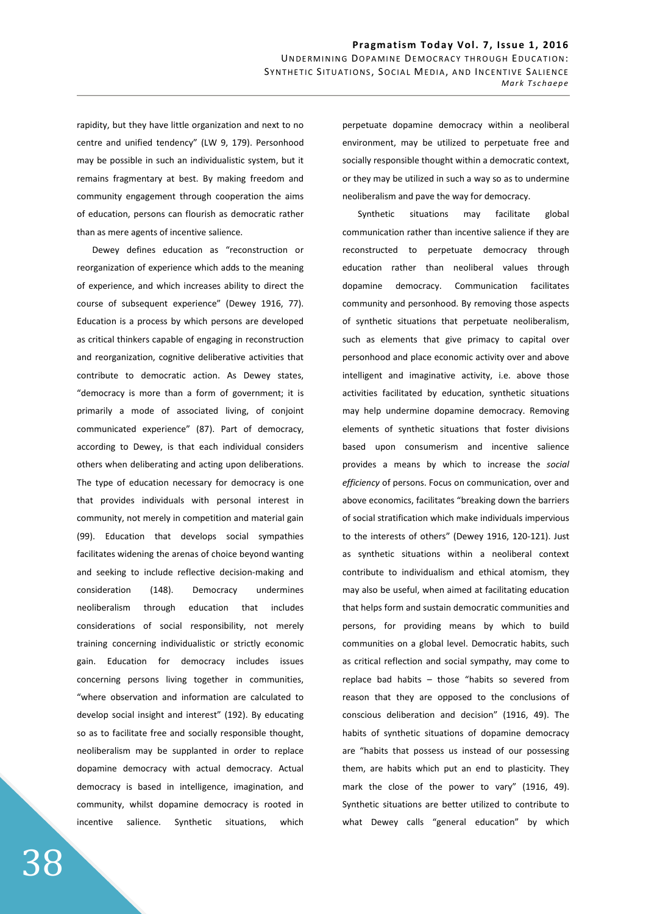rapidity, but they have little organization and next to no centre and unified tendency" (LW 9, 179). Personhood may be possible in such an individualistic system, but it remains fragmentary at best. By making freedom and community engagement through cooperation the aims of education, persons can flourish as democratic rather than as mere agents of incentive salience.

Dewey defines education as "reconstruction or reorganization of experience which adds to the meaning of experience, and which increases ability to direct the course of subsequent experience" (Dewey 1916, 77). Education is a process by which persons are developed as critical thinkers capable of engaging in reconstruction and reorganization, cognitive deliberative activities that contribute to democratic action. As Dewey states, "democracy is more than a form of government; it is primarily a mode of associated living, of conjoint communicated experience" (87). Part of democracy, according to Dewey, is that each individual considers others when deliberating and acting upon deliberations. The type of education necessary for democracy is one that provides individuals with personal interest in community, not merely in competition and material gain (99). Education that develops social sympathies facilitates widening the arenas of choice beyond wanting and seeking to include reflective decision-making and consideration (148). Democracy undermines neoliberalism through education that includes considerations of social responsibility, not merely training concerning individualistic or strictly economic gain. Education for democracy includes issues concerning persons living together in communities, "where observation and information are calculated to develop social insight and interest" (192). By educating so as to facilitate free and socially responsible thought, neoliberalism may be supplanted in order to replace dopamine democracy with actual democracy. Actual democracy is based in intelligence, imagination, and community, whilst dopamine democracy is rooted in incentive salience. Synthetic situations, which perpetuate dopamine democracy within a neoliberal environment, may be utilized to perpetuate free and socially responsible thought within a democratic context, or they may be utilized in such a way so as to undermine neoliberalism and pave the way for democracy.

Synthetic situations may facilitate global communication rather than incentive salience if they are reconstructed to perpetuate democracy through education rather than neoliberal values through dopamine democracy. Communication facilitates community and personhood. By removing those aspects of synthetic situations that perpetuate neoliberalism, such as elements that give primacy to capital over personhood and place economic activity over and above intelligent and imaginative activity, i.e. above those activities facilitated by education, synthetic situations may help undermine dopamine democracy. Removing elements of synthetic situations that foster divisions based upon consumerism and incentive salience provides a means by which to increase the *social efficiency* of persons. Focus on communication, over and above economics, facilitates "breaking down the barriers of social stratification which make individuals impervious to the interests of others" (Dewey 1916, 120-121). Just as synthetic situations within a neoliberal context contribute to individualism and ethical atomism, they may also be useful, when aimed at facilitating education that helps form and sustain democratic communities and persons, for providing means by which to build communities on a global level. Democratic habits, such as critical reflection and social sympathy, may come to replace bad habits – those "habits so severed from reason that they are opposed to the conclusions of conscious deliberation and decision" (1916, 49). The habits of synthetic situations of dopamine democracy are "habits that possess us instead of our possessing them, are habits which put an end to plasticity. They mark the close of the power to vary" (1916, 49). Synthetic situations are better utilized to contribute to what Dewey calls "general education" by which

38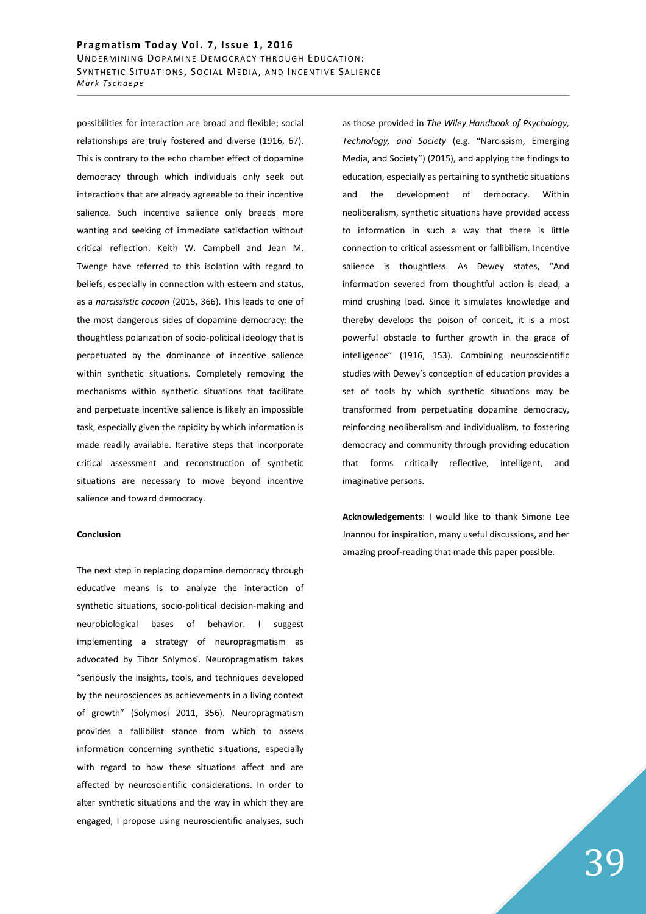possibilities for interaction are broad and flexible; social relationships are truly fostered and diverse (1916, 67). This is contrary to the echo chamber effect of dopamine democracy through which individuals only seek out interactions that are already agreeable to their incentive salience. Such incentive salience only breeds more wanting and seeking of immediate satisfaction without critical reflection. Keith W. Campbell and Jean M. Twenge have referred to this isolation with regard to beliefs, especially in connection with esteem and status, as a *narcissistic cocoon* (2015, 366). This leads to one of the most dangerous sides of dopamine democracy: the thoughtless polarization of socio-political ideology that is perpetuated by the dominance of incentive salience within synthetic situations. Completely removing the mechanisms within synthetic situations that facilitate and perpetuate incentive salience is likely an impossible task, especially given the rapidity by which information is made readily available. Iterative steps that incorporate critical assessment and reconstruction of synthetic situations are necessary to move beyond incentive salience and toward democracy.

#### **Conclusion**

The next step in replacing dopamine democracy through educative means is to analyze the interaction of synthetic situations, socio-political decision-making and neurobiological bases of behavior. I suggest implementing a strategy of neuropragmatism as advocated by Tibor Solymosi. Neuropragmatism takes "seriously the insights, tools, and techniques developed by the neurosciences as achievements in a living context of growth" (Solymosi 2011, 356). Neuropragmatism provides a fallibilist stance from which to assess information concerning synthetic situations, especially with regard to how these situations affect and are affected by neuroscientific considerations. In order to alter synthetic situations and the way in which they are engaged, I propose using neuroscientific analyses, such as those provided in *The Wiley Handbook of Psychology, Technology, and Society* (e.g. "Narcissism, Emerging Media, and Society") (2015), and applying the findings to education, especially as pertaining to synthetic situations and the development of democracy. Within neoliberalism, synthetic situations have provided access to information in such a way that there is little connection to critical assessment or fallibilism. Incentive salience is thoughtless. As Dewey states, "And information severed from thoughtful action is dead, a mind crushing load. Since it simulates knowledge and thereby develops the poison of conceit, it is a most powerful obstacle to further growth in the grace of intelligence" (1916, 153). Combining neuroscientific studies with Dewey's conception of education provides a set of tools by which synthetic situations may be transformed from perpetuating dopamine democracy, reinforcing neoliberalism and individualism, to fostering democracy and community through providing education that forms critically reflective, intelligent, and imaginative persons.

**Acknowledgements**: I would like to thank Simone Lee Joannou for inspiration, many useful discussions, and her amazing proof-reading that made this paper possible.